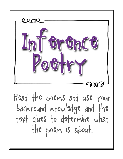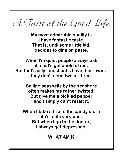A Taste of the Good Life

**My most admirable quality is I have fantastic taste. That is, until some little kid, decides to dine on paste.**

**When I'm quiet people always ask if a cat's got ahold of me. But that's silly - most cat's have their own... they don't need two or three.**

> **Selling seashells by the seashore often makes me rather twisted. But give me a pickled pepper and I simply can't resist it.**

**When I take a trip to the candy store life's at its very best. But when I go to the doctor, I always get depressed.**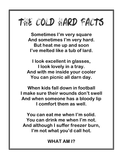

**Sometimes I'm very square And sometimes I'm very hard. But heat me up and soon I've melted like a tub of lard.**

**I look excellent in glasses, I look lovely in a tray. And with me inside your cooler You can picnic all darn day.**

**When kids fall down in football I make sure their wounds don't swell And when someone has a bloody lip I comfort them as well.**

**You can eat me when I'm solid. You can drink me when I'm not. And although I suffer freezer burn, I'm not what you'd call hot.**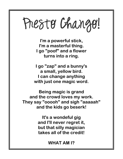## Presto Chango!

**I'm a powerful stick, I'm a masterful thing. I go "poof" and a flower turns into a ring.**

**I go "zap" and a bunny's a small, yellow bird. I can change anything with just one magic word.**

**Being magic is grand and the crowd loves my work. They say "ooooh" and sigh "aaaaah" and the kids go beserk!**

> **It's a wondeful gig and I'll never regret it, but that silly magician takes all of the credit!**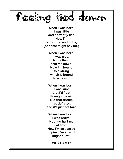

**When I was born, I was little and perfectly flat. Now I'm big, round and puffy; (or some might say fat.)**

> **When I was born, I was free; Not a thing held me down. Now I'm bound to a string which is bound to a clown.**

**When I was born, I was sure that I'd float through the air. But that dream has deflated, and it's just not fair!**

**When I was born, I was brave. Nothing hurt me at first. Now I'm so scared of pins, I'm afraid I might burst!**